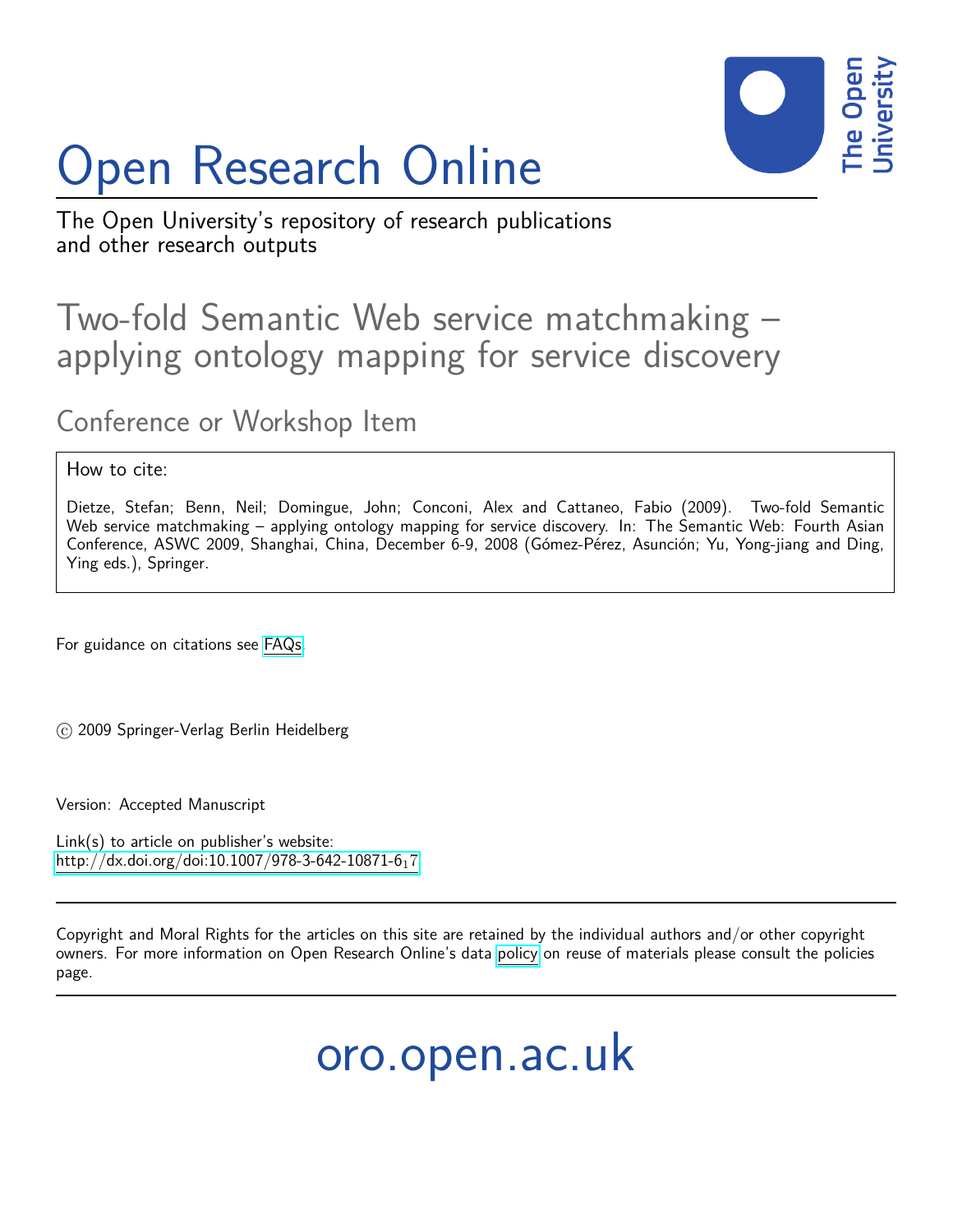# Open Research Online



The Open University's repository of research publications and other research outputs

# Two-fold Semantic Web service matchmaking – applying ontology mapping for service discovery

Conference or Workshop Item

# How to cite:

Dietze, Stefan; Benn, Neil; Domingue, John; Conconi, Alex and Cattaneo, Fabio (2009). Two-fold Semantic Web service matchmaking – applying ontology mapping for service discovery. In: The Semantic Web: Fourth Asian Conference, ASWC 2009, Shanghai, China, December 6-9, 2008 (Gómez-Pérez, Asunción; Yu, Yong-jiang and Ding, Ying eds.), Springer.

For guidance on citations see [FAQs.](http://oro.open.ac.uk/help/helpfaq.html)

c 2009 Springer-Verlag Berlin Heidelberg

Version: Accepted Manuscript

Link(s) to article on publisher's website: [http://dx.doi.org/doi:10.1007/978-3-642-10871-6](http://dx.doi.org/doi:10.1007/978-3-642-10871-6_17)17

Copyright and Moral Rights for the articles on this site are retained by the individual authors and/or other copyright owners. For more information on Open Research Online's data [policy](http://oro.open.ac.uk/policies.html) on reuse of materials please consult the policies page.

oro.open.ac.uk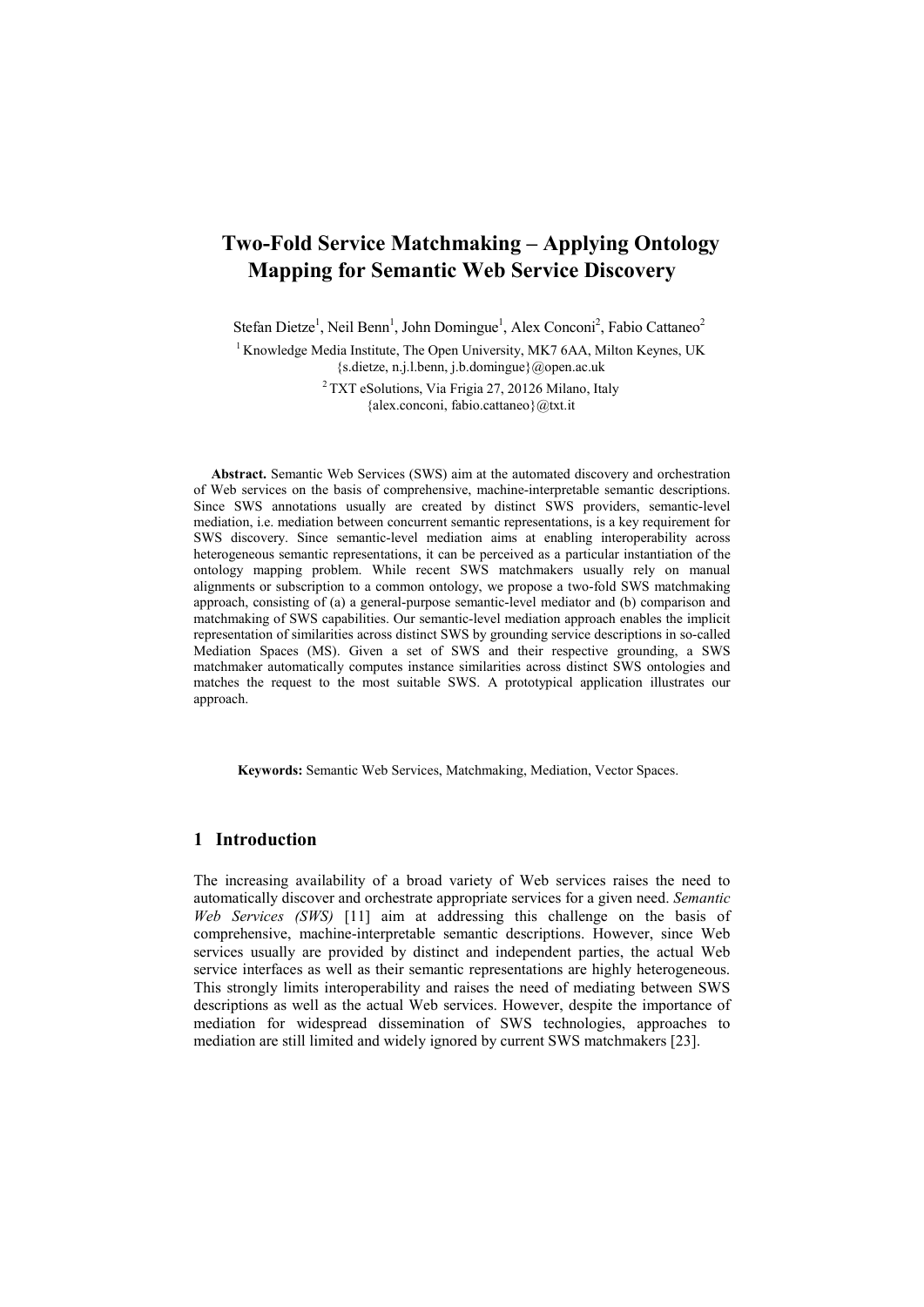# **Two-Fold Service Matchmaking – Applying Ontology Mapping for Semantic Web Service Discovery**

Stefan Dietze<sup>1</sup>, Neil Benn<sup>1</sup>, John Domingue<sup>1</sup>, Alex Conconi<sup>2</sup>, Fabio Cattaneo<sup>2</sup>

<sup>1</sup> Knowledge Media Institute, The Open University, MK7 6AA, Milton Keynes, UK {s.dietze, n.j.l.benn, j.b.domingue}@open.ac.uk

> <sup>2</sup>TXT eSolutions, Via Frigia 27, 20126 Milano, Italy {alex.conconi, fabio.cattaneo}@txt.it

**Abstract.** Semantic Web Services (SWS) aim at the automated discovery and orchestration of Web services on the basis of comprehensive, machine-interpretable semantic descriptions. Since SWS annotations usually are created by distinct SWS providers, semantic-level mediation, i.e. mediation between concurrent semantic representations, is a key requirement for SWS discovery. Since semantic-level mediation aims at enabling interoperability across heterogeneous semantic representations, it can be perceived as a particular instantiation of the ontology mapping problem. While recent SWS matchmakers usually rely on manual alignments or subscription to a common ontology, we propose a two-fold SWS matchmaking approach, consisting of (a) a general-purpose semantic-level mediator and (b) comparison and matchmaking of SWS capabilities. Our semantic-level mediation approach enables the implicit representation of similarities across distinct SWS by grounding service descriptions in so-called Mediation Spaces (MS). Given a set of SWS and their respective grounding, a SWS matchmaker automatically computes instance similarities across distinct SWS ontologies and matches the request to the most suitable SWS. A prototypical application illustrates our approach.

**Keywords:** Semantic Web Services, Matchmaking, Mediation, Vector Spaces.

## **1 Introduction**

The increasing availability of a broad variety of Web services raises the need to automatically discover and orchestrate appropriate services for a given need. *Semantic Web Services (SWS)* [11] aim at addressing this challenge on the basis of comprehensive, machine-interpretable semantic descriptions. However, since Web services usually are provided by distinct and independent parties, the actual Web service interfaces as well as their semantic representations are highly heterogeneous. This strongly limits interoperability and raises the need of mediating between SWS descriptions as well as the actual Web services. However, despite the importance of mediation for widespread dissemination of SWS technologies, approaches to mediation are still limited and widely ignored by current SWS matchmakers [23].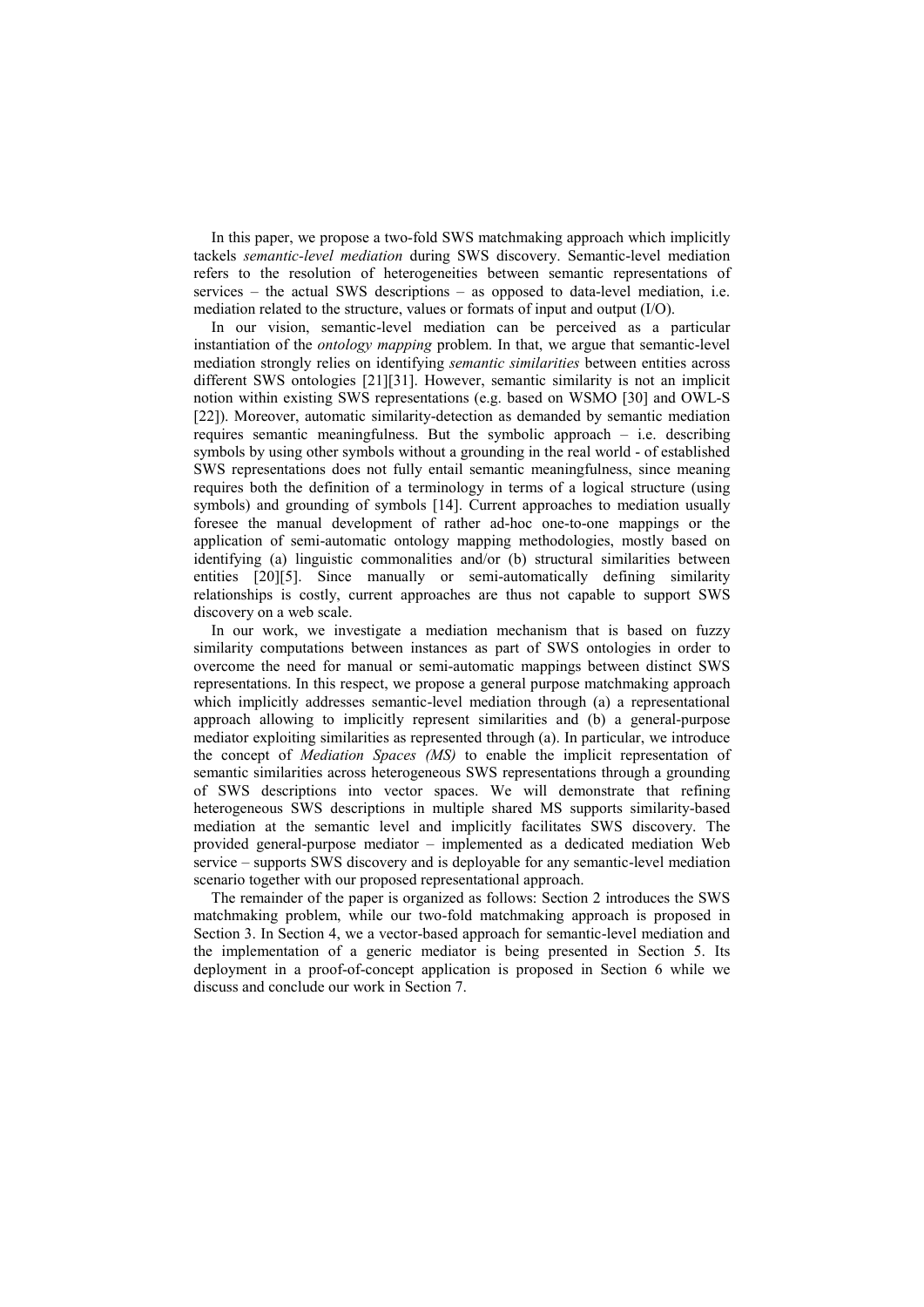In this paper, we propose a two-fold SWS matchmaking approach which implicitly tackels *semantic-level mediation* during SWS discovery. Semantic-level mediation refers to the resolution of heterogeneities between semantic representations of services – the actual SWS descriptions – as opposed to data-level mediation, i.e. mediation related to the structure, values or formats of input and output (I/O).

In our vision, semantic-level mediation can be perceived as a particular instantiation of the *ontology mapping* problem. In that, we argue that semantic-level mediation strongly relies on identifying *semantic similarities* between entities across different SWS ontologies [21][31]. However, semantic similarity is not an implicit notion within existing SWS representations (e.g. based on WSMO [30] and OWL-S [22]). Moreover, automatic similarity-detection as demanded by semantic mediation requires semantic meaningfulness. But the symbolic approach – i.e. describing symbols by using other symbols without a grounding in the real world - of established SWS representations does not fully entail semantic meaningfulness, since meaning requires both the definition of a terminology in terms of a logical structure (using symbols) and grounding of symbols [14]. Current approaches to mediation usually foresee the manual development of rather ad-hoc one-to-one mappings or the application of semi-automatic ontology mapping methodologies, mostly based on identifying (a) linguistic commonalities and/or (b) structural similarities between entities [20][5]. Since manually or semi-automatically defining similarity relationships is costly, current approaches are thus not capable to support SWS discovery on a web scale.

In our work, we investigate a mediation mechanism that is based on fuzzy similarity computations between instances as part of SWS ontologies in order to overcome the need for manual or semi-automatic mappings between distinct SWS representations. In this respect, we propose a general purpose matchmaking approach which implicitly addresses semantic-level mediation through (a) a representational approach allowing to implicitly represent similarities and (b) a general-purpose mediator exploiting similarities as represented through (a). In particular, we introduce the concept of *Mediation Spaces (MS)* to enable the implicit representation of semantic similarities across heterogeneous SWS representations through a grounding of SWS descriptions into vector spaces. We will demonstrate that refining heterogeneous SWS descriptions in multiple shared MS supports similarity-based mediation at the semantic level and implicitly facilitates SWS discovery. The provided general-purpose mediator – implemented as a dedicated mediation Web service – supports SWS discovery and is deployable for any semantic-level mediation scenario together with our proposed representational approach.

The remainder of the paper is organized as follows: Section 2 introduces the SWS matchmaking problem, while our two-fold matchmaking approach is proposed in Section 3. In Section 4, we a vector-based approach for semantic-level mediation and the implementation of a generic mediator is being presented in Section 5. Its deployment in a proof-of-concept application is proposed in Section 6 while we discuss and conclude our work in Section 7.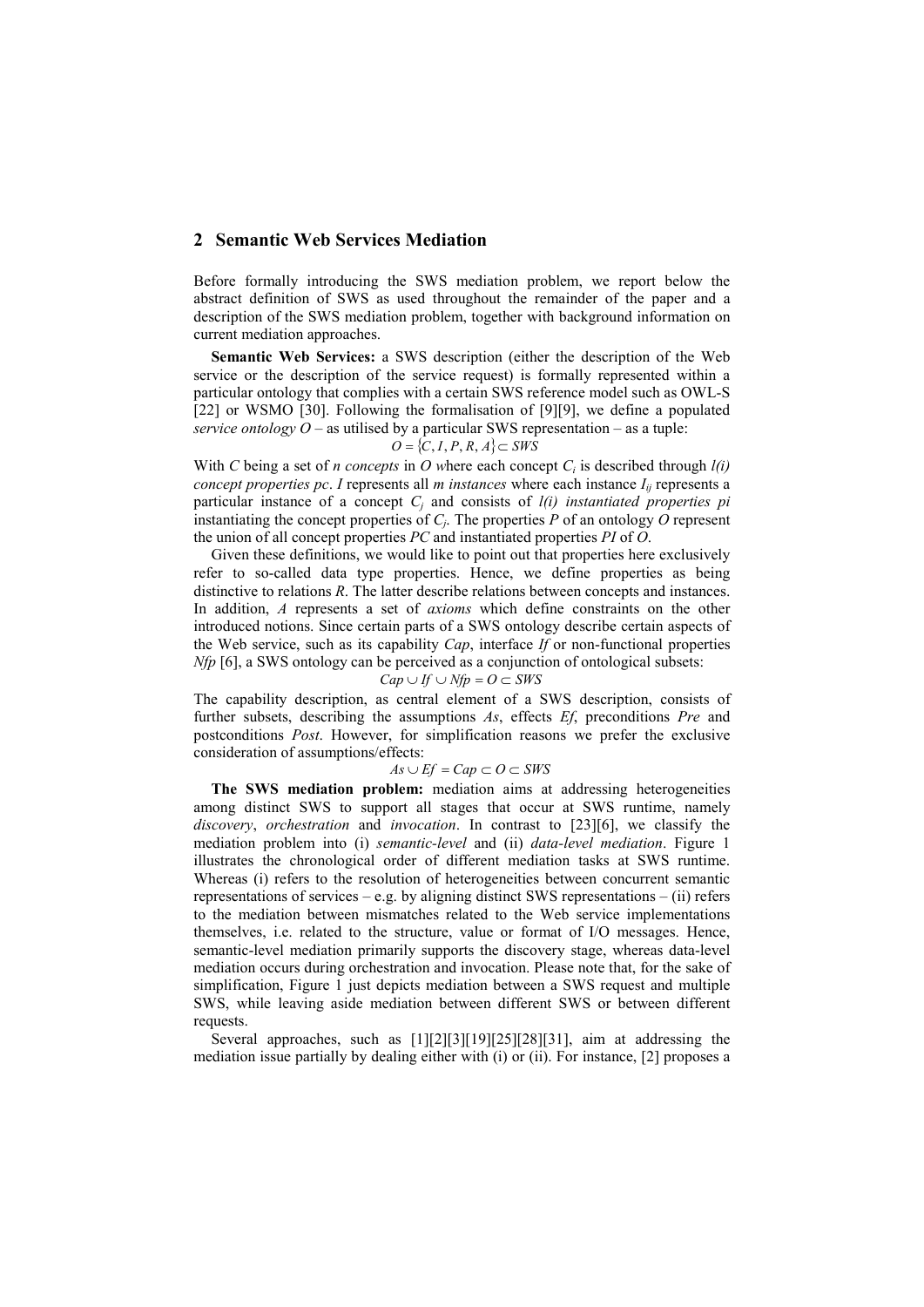#### **2 Semantic Web Services Mediation**

Before formally introducing the SWS mediation problem, we report below the abstract definition of SWS as used throughout the remainder of the paper and a description of the SWS mediation problem, together with background information on current mediation approaches.

**Semantic Web Services:** a SWS description (either the description of the Web service or the description of the service request) is formally represented within a particular ontology that complies with a certain SWS reference model such as OWL-S [22] or WSMO [30]. Following the formalisation of [9][9], we define a populated *service ontology*  $O$  – as utilised by a particular SWS representation – as a tuple:

#### *O* = {*C*, *I*, *P*, *R*, *A*}⊂ *SWS*

With *C* being a set of *n concepts* in *O* where each concept  $C_i$  is described through  $l(i)$ *concept properties pc. I* represents all  $m$  *instances* where each instance  $I_{ij}$  represents a particular instance of a concept  $C_j$  and consists of  $l(i)$  instantiated properties pi instantiating the concept properties of *C<sup>j</sup>* . The properties *P* of an ontology *O* represent the union of all concept properties *PC* and instantiated properties *PI* of *O*.

Given these definitions, we would like to point out that properties here exclusively refer to so-called data type properties. Hence, we define properties as being distinctive to relations *R*. The latter describe relations between concepts and instances. In addition, *A* represents a set of *axioms* which define constraints on the other introduced notions. Since certain parts of a SWS ontology describe certain aspects of the Web service, such as its capability *Cap*, interface *If* or non-functional properties *Nfp* [6], a SWS ontology can be perceived as a conjunction of ontological subsets:

#### *Cap* ∪ *If* ∪ *Nfp* = *O* ⊂ *SWS*

The capability description, as central element of a SWS description, consists of further subsets, describing the assumptions *As*, effects *Ef*, preconditions *Pre* and postconditions *Post*. However, for simplification reasons we prefer the exclusive consideration of assumptions/effects:

#### *As* ∪ *Ef* = *Cap* ⊂ *O* ⊂ *SWS*

**The SWS mediation problem:** mediation aims at addressing heterogeneities among distinct SWS to support all stages that occur at SWS runtime, namely *discovery*, *orchestration* and *invocation*. In contrast to [23][6], we classify the mediation problem into (i) *semantic-level* and (ii) *data-level mediation*. Figure 1 illustrates the chronological order of different mediation tasks at SWS runtime. Whereas (i) refers to the resolution of heterogeneities between concurrent semantic representations of services – e.g. by aligning distinct SWS representations – (ii) refers to the mediation between mismatches related to the Web service implementations themselves, i.e. related to the structure, value or format of I/O messages. Hence, semantic-level mediation primarily supports the discovery stage, whereas data-level mediation occurs during orchestration and invocation. Please note that, for the sake of simplification, Figure 1 just depicts mediation between a SWS request and multiple SWS, while leaving aside mediation between different SWS or between different requests.

Several approaches, such as [1][2][3][19][25][28][31], aim at addressing the mediation issue partially by dealing either with (i) or (ii). For instance, [2] proposes a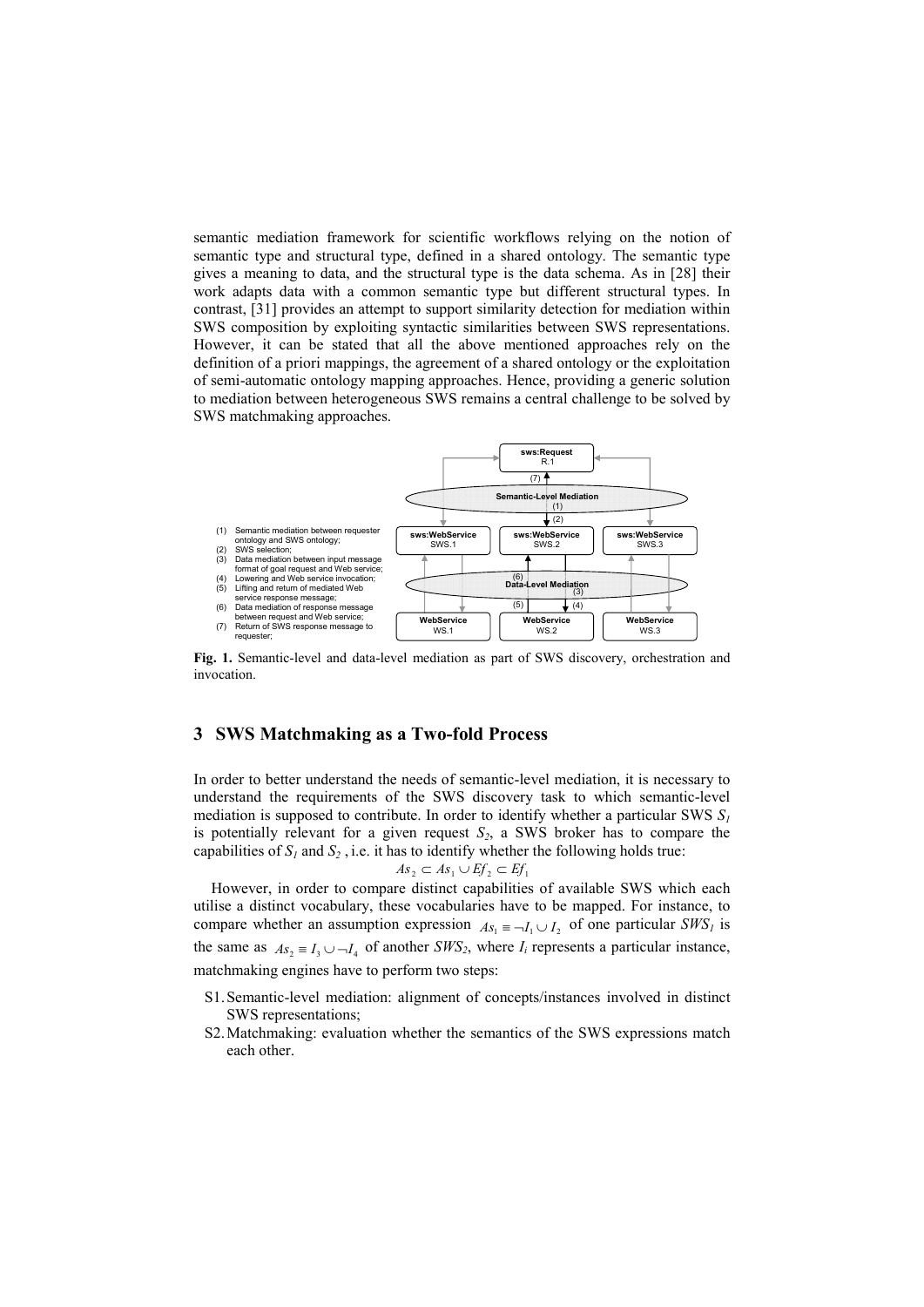semantic mediation framework for scientific workflows relying on the notion of semantic type and structural type, defined in a shared ontology. The semantic type gives a meaning to data, and the structural type is the data schema. As in [28] their work adapts data with a common semantic type but different structural types. In contrast, [31] provides an attempt to support similarity detection for mediation within SWS composition by exploiting syntactic similarities between SWS representations. However, it can be stated that all the above mentioned approaches rely on the definition of a priori mappings, the agreement of a shared ontology or the exploitation of semi-automatic ontology mapping approaches. Hence, providing a generic solution to mediation between heterogeneous SWS remains a central challenge to be solved by SWS matchmaking approaches.



**Fig. 1.** Semantic-level and data-level mediation as part of SWS discovery, orchestration and invocation.

#### **3 SWS Matchmaking as a Two-fold Process**

In order to better understand the needs of semantic-level mediation, it is necessary to understand the requirements of the SWS discovery task to which semantic-level mediation is supposed to contribute. In order to identify whether a particular SWS *S<sup>1</sup>* is potentially relevant for a given request *S2*, a SWS broker has to compare the capabilities of  $S_I$  and  $S_2$ , i.e. it has to identify whether the following holds true:

$$
As_2 \subset As_1 \cup Ef_2 \subset Ef_1
$$

However, in order to compare distinct capabilities of available SWS which each utilise a distinct vocabulary, these vocabularies have to be mapped. For instance, to compare whether an assumption expression  $As_i \equiv \neg I_i \cup I_j$  of one particular *SWS<sub>I</sub>* is the same as  $A_{S_2} \equiv I_3 \cup -I_4$  of another *SWS*<sub>2</sub>, where  $I_i$  represents a particular instance, matchmaking engines have to perform two steps:

- S1.Semantic-level mediation: alignment of concepts/instances involved in distinct SWS representations;
- S2.Matchmaking: evaluation whether the semantics of the SWS expressions match each other.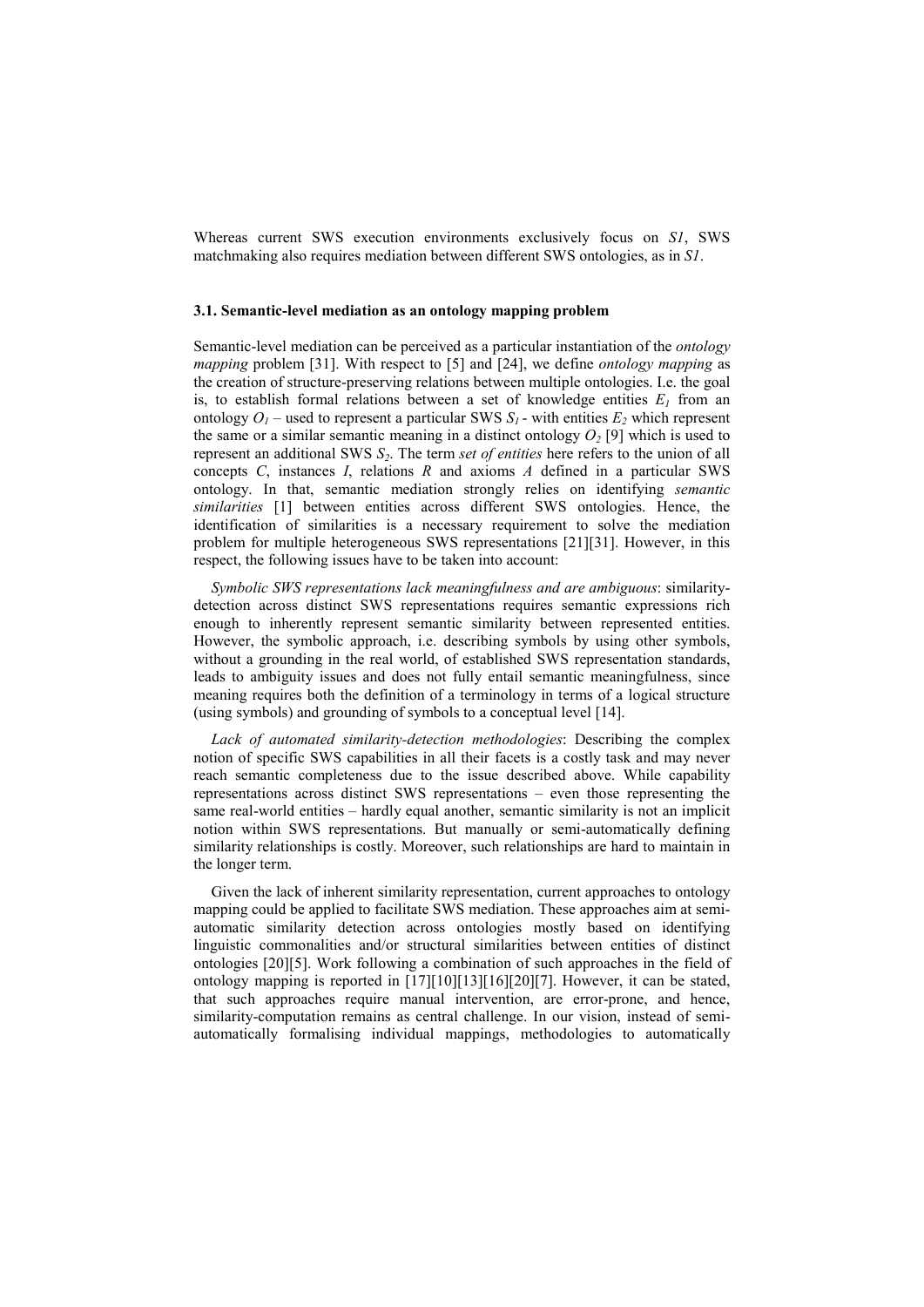Whereas current SWS execution environments exclusively focus on *S1*, SWS matchmaking also requires mediation between different SWS ontologies, as in *S1*.

#### **3.1. Semantic-level mediation as an ontology mapping problem**

Semantic-level mediation can be perceived as a particular instantiation of the *ontology mapping* problem [31]. With respect to [5] and [24], we define *ontology mapping* as the creation of structure-preserving relations between multiple ontologies. I.e. the goal is, to establish formal relations between a set of knowledge entities  $E_l$  from an ontology  $O_1$  – used to represent a particular SWS  $S_1$  – with entities  $E_2$  which represent the same or a similar semantic meaning in a distinct ontology  $O_2$  [9] which is used to represent an additional SWS *S2*. The term *set of entities* here refers to the union of all concepts *C*, instances *I*, relations *R* and axioms *A* defined in a particular SWS ontology. In that, semantic mediation strongly relies on identifying *semantic similarities* [1] between entities across different SWS ontologies. Hence, the identification of similarities is a necessary requirement to solve the mediation problem for multiple heterogeneous SWS representations [21][31]. However, in this respect, the following issues have to be taken into account:

*Symbolic SWS representations lack meaningfulness and are ambiguous*: similaritydetection across distinct SWS representations requires semantic expressions rich enough to inherently represent semantic similarity between represented entities. However, the symbolic approach, i.e. describing symbols by using other symbols, without a grounding in the real world, of established SWS representation standards, leads to ambiguity issues and does not fully entail semantic meaningfulness, since meaning requires both the definition of a terminology in terms of a logical structure (using symbols) and grounding of symbols to a conceptual level [14].

*Lack of automated similarity-detection methodologies*: Describing the complex notion of specific SWS capabilities in all their facets is a costly task and may never reach semantic completeness due to the issue described above. While capability representations across distinct SWS representations – even those representing the same real-world entities – hardly equal another, semantic similarity is not an implicit notion within SWS representations. But manually or semi-automatically defining similarity relationships is costly. Moreover, such relationships are hard to maintain in the longer term.

Given the lack of inherent similarity representation, current approaches to ontology mapping could be applied to facilitate SWS mediation. These approaches aim at semiautomatic similarity detection across ontologies mostly based on identifying linguistic commonalities and/or structural similarities between entities of distinct ontologies [20][5]. Work following a combination of such approaches in the field of ontology mapping is reported in [17][10][13][16][20][7]. However, it can be stated, that such approaches require manual intervention, are error-prone, and hence, similarity-computation remains as central challenge. In our vision, instead of semiautomatically formalising individual mappings, methodologies to automatically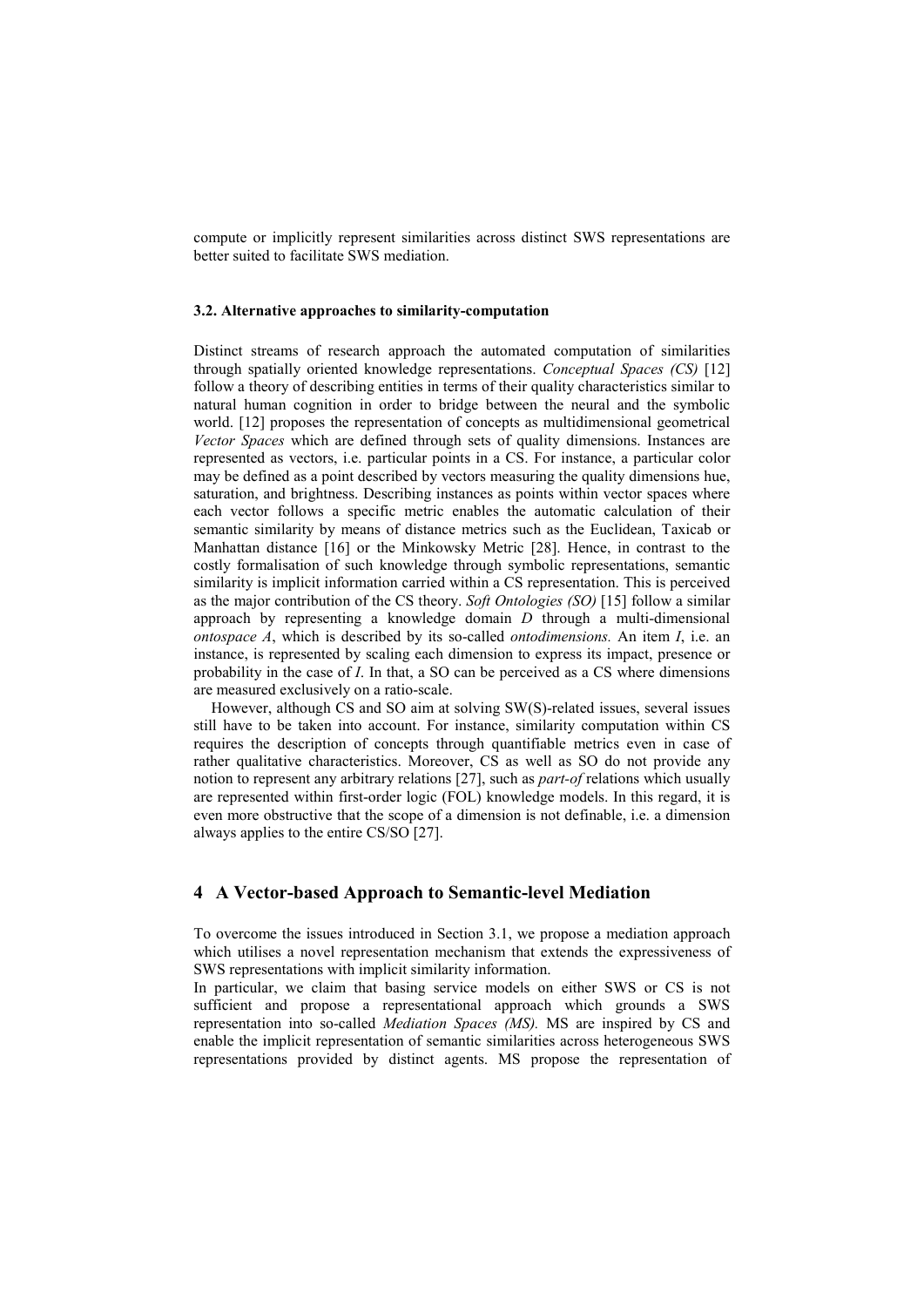compute or implicitly represent similarities across distinct SWS representations are better suited to facilitate SWS mediation.

#### **3.2. Alternative approaches to similarity-computation**

Distinct streams of research approach the automated computation of similarities through spatially oriented knowledge representations. *Conceptual Spaces (CS)* [12] follow a theory of describing entities in terms of their quality characteristics similar to natural human cognition in order to bridge between the neural and the symbolic world. [12] proposes the representation of concepts as multidimensional geometrical *Vector Spaces* which are defined through sets of quality dimensions. Instances are represented as vectors, i.e. particular points in a CS. For instance, a particular color may be defined as a point described by vectors measuring the quality dimensions hue, saturation, and brightness. Describing instances as points within vector spaces where each vector follows a specific metric enables the automatic calculation of their semantic similarity by means of distance metrics such as the Euclidean, Taxicab or Manhattan distance [16] or the Minkowsky Metric [28]. Hence, in contrast to the costly formalisation of such knowledge through symbolic representations, semantic similarity is implicit information carried within a CS representation. This is perceived as the major contribution of the CS theory. *Soft Ontologies (SO)* [15] follow a similar approach by representing a knowledge domain *D* through a multi-dimensional *ontospace A*, which is described by its so-called *ontodimensions.* An item *I*, i.e. an instance, is represented by scaling each dimension to express its impact, presence or probability in the case of *I*. In that, a SO can be perceived as a CS where dimensions are measured exclusively on a ratio-scale.

However, although CS and SO aim at solving SW(S)-related issues, several issues still have to be taken into account. For instance, similarity computation within CS requires the description of concepts through quantifiable metrics even in case of rather qualitative characteristics. Moreover, CS as well as SO do not provide any notion to represent any arbitrary relations [27], such as *part-of* relations which usually are represented within first-order logic (FOL) knowledge models. In this regard, it is even more obstructive that the scope of a dimension is not definable, i.e. a dimension always applies to the entire CS/SO [27].

# **4 A Vector-based Approach to Semantic-level Mediation**

To overcome the issues introduced in Section 3.1, we propose a mediation approach which utilises a novel representation mechanism that extends the expressiveness of SWS representations with implicit similarity information.

In particular, we claim that basing service models on either SWS or CS is not sufficient and propose a representational approach which grounds a SWS representation into so-called *Mediation Spaces (MS).* MS are inspired by CS and enable the implicit representation of semantic similarities across heterogeneous SWS representations provided by distinct agents. MS propose the representation of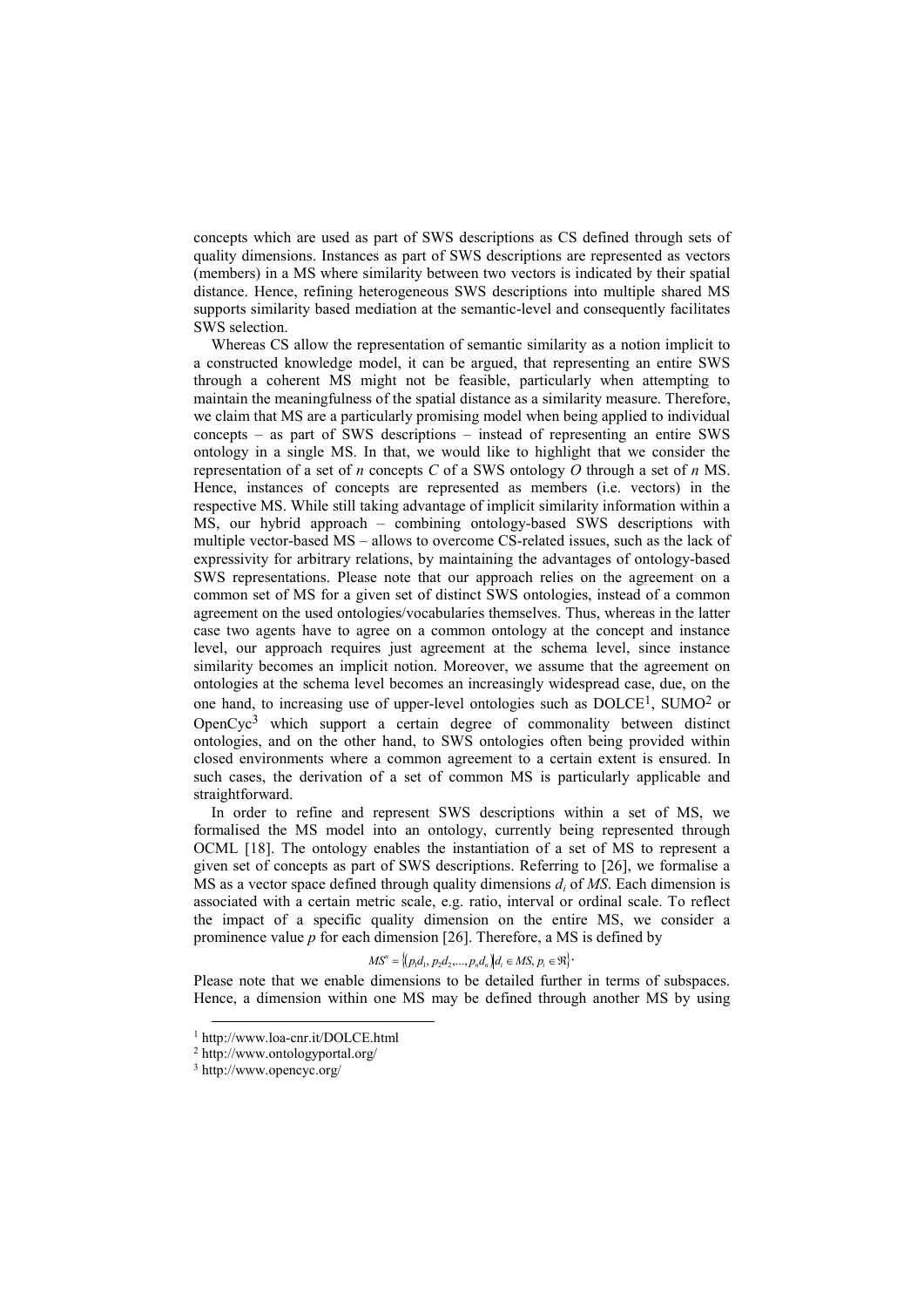concepts which are used as part of SWS descriptions as CS defined through sets of quality dimensions. Instances as part of SWS descriptions are represented as vectors (members) in a MS where similarity between two vectors is indicated by their spatial distance. Hence, refining heterogeneous SWS descriptions into multiple shared MS supports similarity based mediation at the semantic-level and consequently facilitates SWS selection.

Whereas CS allow the representation of semantic similarity as a notion implicit to a constructed knowledge model, it can be argued, that representing an entire SWS through a coherent MS might not be feasible, particularly when attempting to maintain the meaningfulness of the spatial distance as a similarity measure. Therefore, we claim that MS are a particularly promising model when being applied to individual concepts – as part of SWS descriptions – instead of representing an entire SWS ontology in a single MS. In that, we would like to highlight that we consider the representation of a set of *n* concepts *C* of a SWS ontology *O* through a set of *n* MS. Hence, instances of concepts are represented as members (i.e. vectors) in the respective MS. While still taking advantage of implicit similarity information within a MS, our hybrid approach – combining ontology-based SWS descriptions with multiple vector-based MS – allows to overcome CS-related issues, such as the lack of expressivity for arbitrary relations, by maintaining the advantages of ontology-based SWS representations. Please note that our approach relies on the agreement on a common set of MS for a given set of distinct SWS ontologies, instead of a common agreement on the used ontologies/vocabularies themselves. Thus, whereas in the latter case two agents have to agree on a common ontology at the concept and instance level, our approach requires just agreement at the schema level, since instance similarity becomes an implicit notion. Moreover, we assume that the agreement on ontologies at the schema level becomes an increasingly widespread case, due, on the one hand, to increasing use of upper-level ontologies such as  $DOLCE<sup>1</sup>$ ,  $SUMO<sup>2</sup>$  or OpenCyc3 which support a certain degree of commonality between distinct ontologies, and on the other hand, to SWS ontologies often being provided within closed environments where a common agreement to a certain extent is ensured. In such cases, the derivation of a set of common MS is particularly applicable and straightforward.

In order to refine and represent SWS descriptions within a set of MS, we formalised the MS model into an ontology, currently being represented through OCML [18]. The ontology enables the instantiation of a set of MS to represent a given set of concepts as part of SWS descriptions. Referring to [26], we formalise a MS as a vector space defined through quality dimensions *d<sup>i</sup>* of *MS*. Each dimension is associated with a certain metric scale, e.g. ratio, interval or ordinal scale. To reflect the impact of a specific quality dimension on the entire MS, we consider a prominence value *p* for each dimension [26]. Therefore, a MS is defined by

# $MS^n = \{ (p_1d_1, p_2d_2,..., p_nd_n) | d_i \in MS, p_i \in \Re \}$

Please note that we enable dimensions to be detailed further in terms of subspaces. Hence, a dimension within one MS may be defined through another MS by using

-

<sup>1</sup> http://www.loa-cnr.it/DOLCE.html

<sup>2</sup> http://www.ontologyportal.org/

<sup>3</sup> http://www.opencyc.org/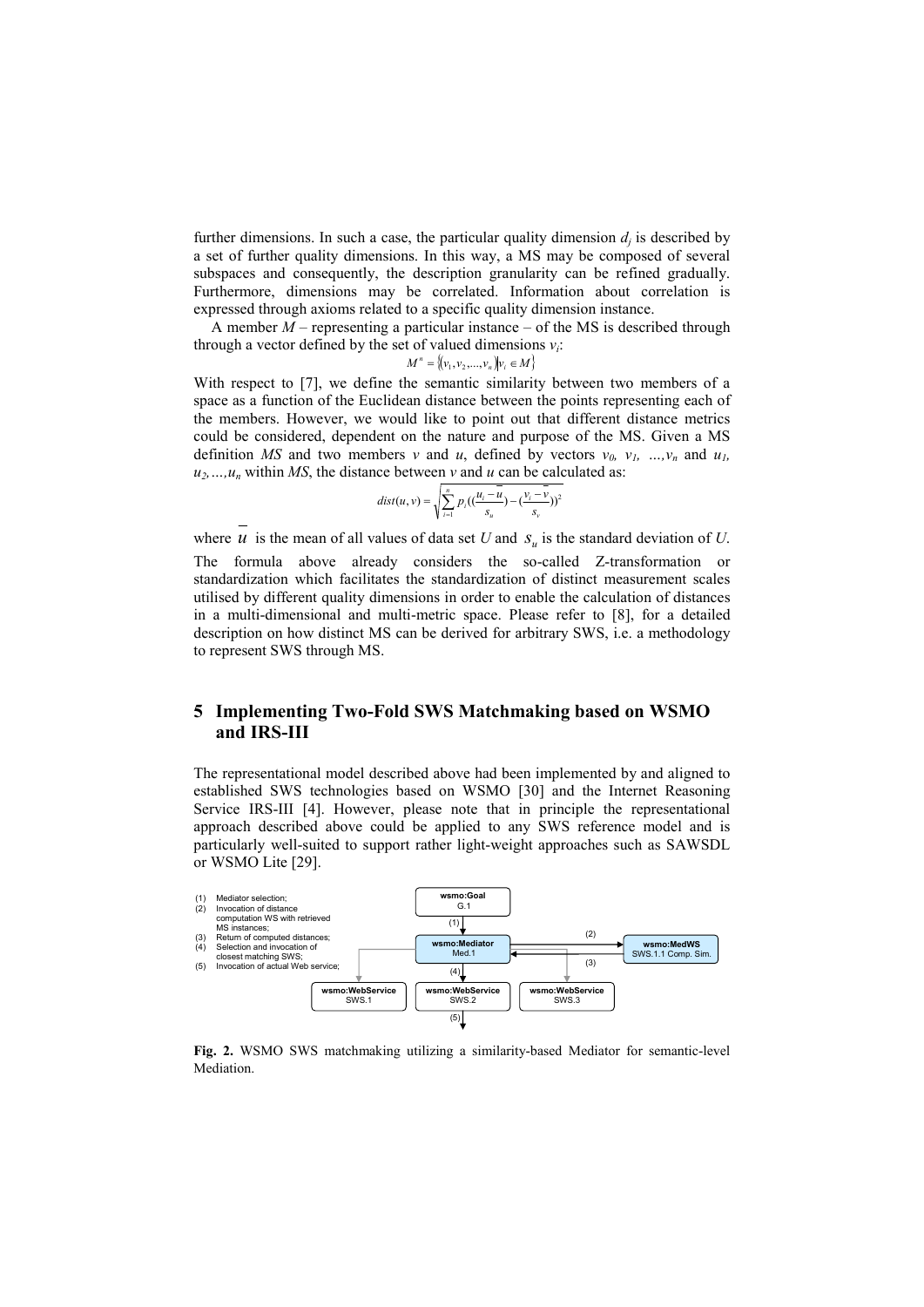further dimensions. In such a case, the particular quality dimension  $d_j$  is described by a set of further quality dimensions. In this way, a MS may be composed of several subspaces and consequently, the description granularity can be refined gradually. Furthermore, dimensions may be correlated. Information about correlation is expressed through axioms related to a specific quality dimension instance.

A member  $M$  – representing a particular instance – of the MS is described through through a vector defined by the set of valued dimensions  $v_i$ :

$$
M^n = \{(v_1, v_2, ..., v_n)|v_i \in M\}
$$

With respect to [7], we define the semantic similarity between two members of a space as a function of the Euclidean distance between the points representing each of the members. However, we would like to point out that different distance metrics could be considered, dependent on the nature and purpose of the MS. Given a MS definition *MS* and two members *v* and *u*, defined by vectors  $v_0$ ,  $v_1$ , …,  $v_n$  and  $u_1$ ,  $u_2, \ldots, u_n$  within *MS*, the distance between  $v$  and  $u$  can be calculated as:

$$
dist(u, v) = \sqrt{\sum_{i=1}^{n} p_i \left( \frac{u_i - u}{s_u} \right) - \left( \frac{v_i - v}{s_v} \right)^2}
$$

where *u* is the mean of all values of data set *U* and  $S_u$  is the standard deviation of *U*.

The formula above already considers the so-called Z-transformation or standardization which facilitates the standardization of distinct measurement scales utilised by different quality dimensions in order to enable the calculation of distances in a multi-dimensional and multi-metric space. Please refer to [8], for a detailed description on how distinct MS can be derived for arbitrary SWS, i.e. a methodology to represent SWS through MS.

# **5 Implementing Two-Fold SWS Matchmaking based on WSMO and IRS-III**

The representational model described above had been implemented by and aligned to established SWS technologies based on WSMO [30] and the Internet Reasoning Service IRS-III [4]. However, please note that in principle the representational approach described above could be applied to any SWS reference model and is particularly well-suited to support rather light-weight approaches such as SAWSDL or WSMO Lite [29].



**Fig. 2.** WSMO SWS matchmaking utilizing a similarity-based Mediator for semantic-level Mediation.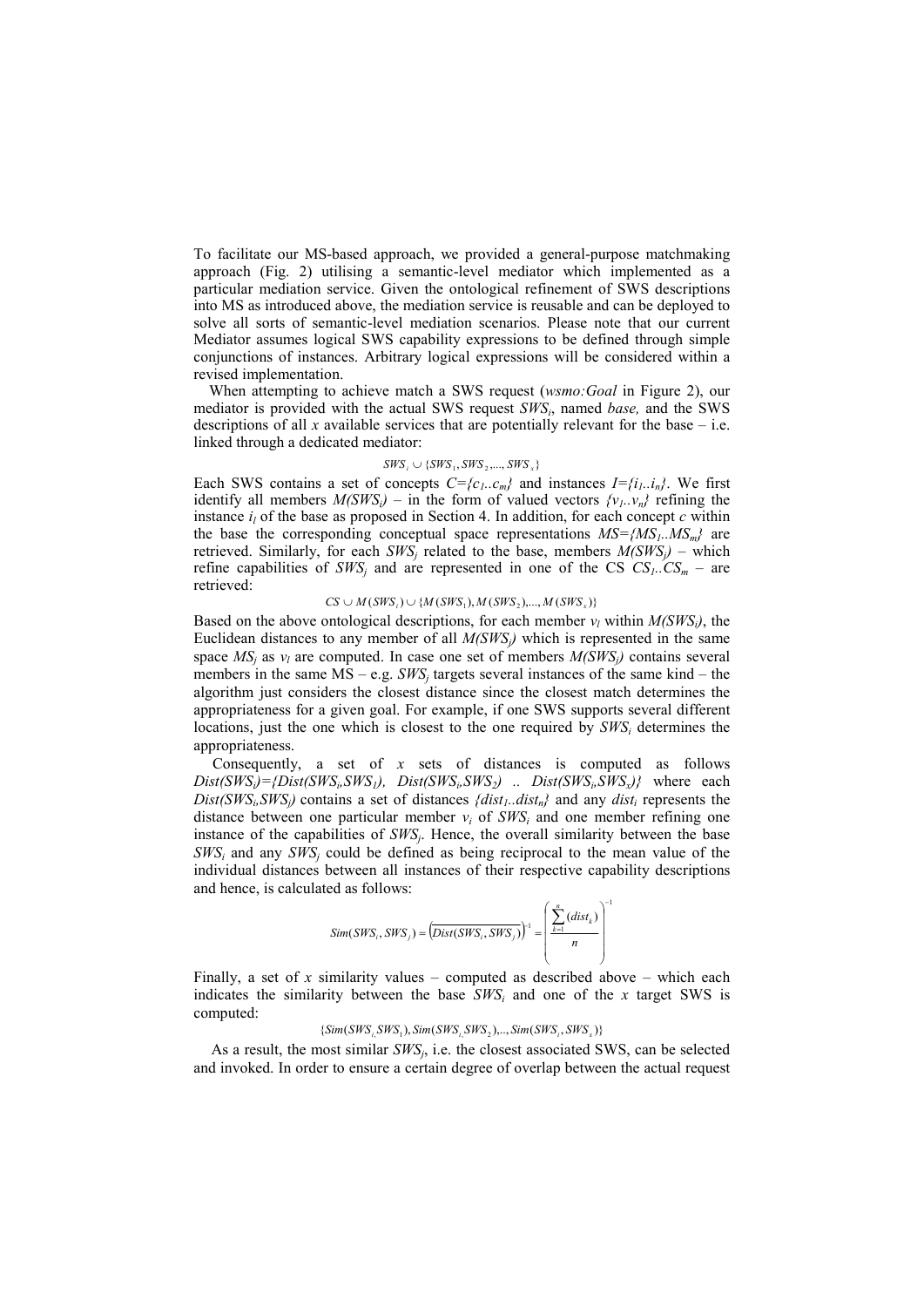To facilitate our MS-based approach, we provided a general-purpose matchmaking approach (Fig. 2) utilising a semantic-level mediator which implemented as a particular mediation service. Given the ontological refinement of SWS descriptions into MS as introduced above, the mediation service is reusable and can be deployed to solve all sorts of semantic-level mediation scenarios. Please note that our current Mediator assumes logical SWS capability expressions to be defined through simple conjunctions of instances. Arbitrary logical expressions will be considered within a revised implementation.

 When attempting to achieve match a SWS request (*wsmo:Goal* in Figure 2), our mediator is provided with the actual SWS request *SWS<sup>i</sup>* , named *base,* and the SWS descriptions of all *x* available services that are potentially relevant for the base  $-$  i.e. linked through a dedicated mediator:

#### $SWS<sub>i</sub> ∪ {SWS<sub>1</sub>, SWS<sub>2</sub>, ..., SWS<sub>x</sub>}$

Each SWS contains a set of concepts  $C = \{c_1, c_m\}$  and instances  $I = \{i_1, i_n\}$ . We first identify all members  $M(SWS_i)$  – in the form of valued vectors  $\{v_i, v_n\}$  refining the instance  $i_l$  of the base as proposed in Section 4. In addition, for each concept  $c$  within the base the corresponding conceptual space representations  $MS = \{MS_1, MS_m\}$  are retrieved. Similarly, for each  $SWS_j$  related to the base, members  $M(SWS_j)$  – which refine capabilities of  $SWS_j$  and are represented in one of the CS  $CS_1$ ... $CS_m$  – are retrieved:

#### $CS \cup M(SWS_i) \cup \{M(SWS_1), M(SWS_2), ..., M(SWS_n)\}$

Based on the above ontological descriptions, for each member  $v_l$  within  $M(SWS_l)$ , the Euclidean distances to any member of all  $M(SWS_i)$  which is represented in the same space  $MS_j$  as  $v_l$  are computed. In case one set of members  $M(SWS_j)$  contains several members in the same  $MS - e.g. \textit{SWS}_j$  targets several instances of the same kind – the algorithm just considers the closest distance since the closest match determines the appropriateness for a given goal. For example, if one SWS supports several different locations, just the one which is closest to the one required by  $SWS_i$  determines the appropriateness.

Consequently, a set of *x* sets of distances is computed as follows  $Dist(SWS_i) = \{Dist(SWS_i, SWS_1), \quad Dist(SWS_i, SWS_2) \quad . \quad Dist(SWS_i, SWS_x)\}$  where each  $Dist(SWS_i, SWS_j)$  contains a set of distances  $\{dist_1...dist_n\}$  and any  $dist_i$  represents the distance between one particular member  $v_i$  of  $SWS_i$  and one member refining one instance of the capabilities of *SWS<sup>j</sup>* . Hence, the overall similarity between the base  $SWS_i$  and any  $SWS_j$  could be defined as being reciprocal to the mean value of the individual distances between all instances of their respective capability descriptions and hence, is calculated as follows:

$$
Sim(SWS_i, SWS_j) = \left(\overline{Dist(SWS_i, SWS_j)}\right)^{-1} = \left(\frac{\sum_{k=1}^{n} (dist_k)}{n}\right)^{-1}
$$

1

Finally, a set of  $x$  similarity values – computed as described above – which each indicates the similarity between the base  $SWS_i$  and one of the *x* target SWS is computed:

 ${Sim(SWS, SWS_1), Sim(SWS, SWS_2), ..., Sim(SWS_i, SWS_x)}$ 

As a result, the most similar  $SWS_j$ , i.e. the closest associated SWS, can be selected and invoked. In order to ensure a certain degree of overlap between the actual request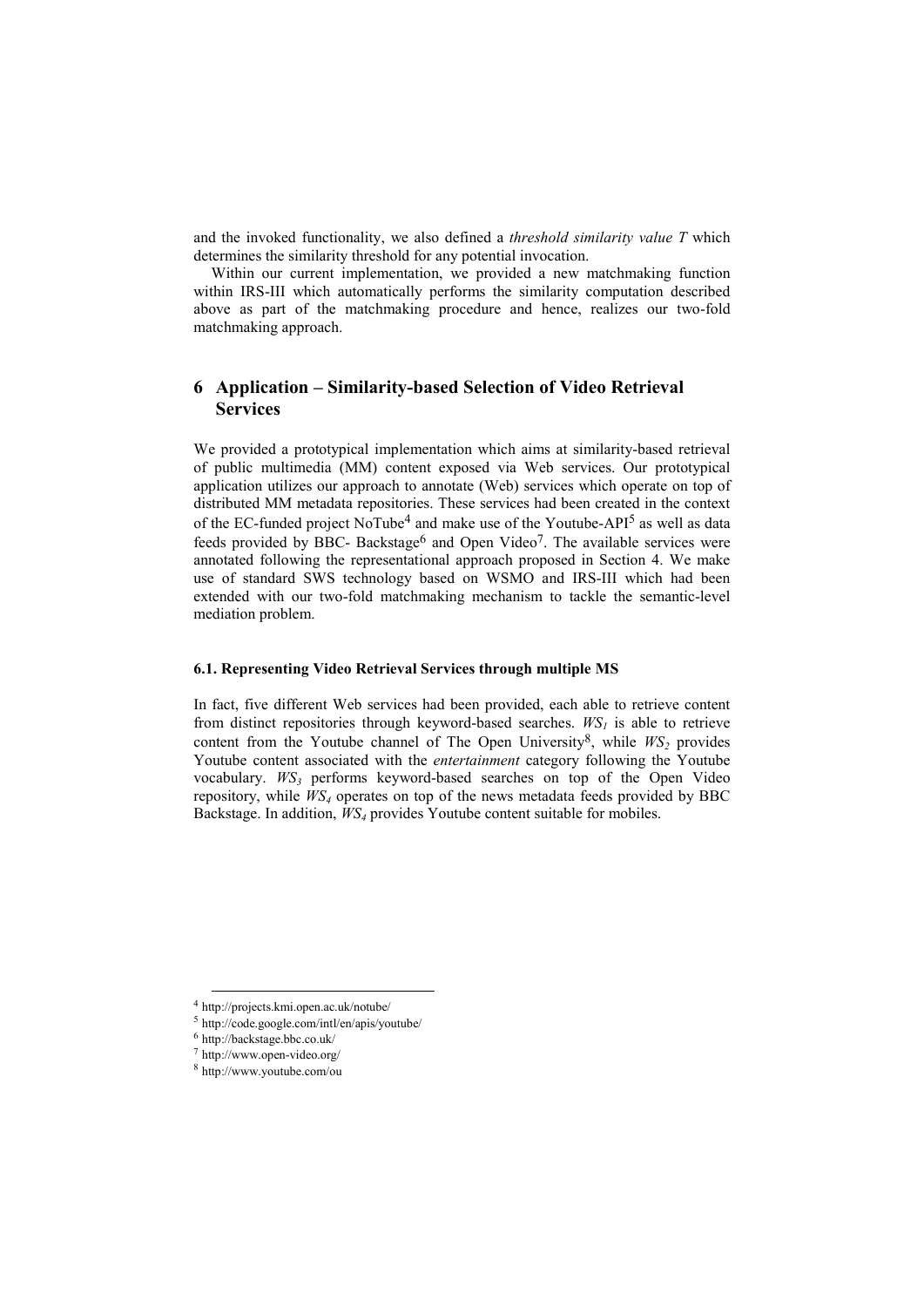and the invoked functionality, we also defined a *threshold similarity value T* which determines the similarity threshold for any potential invocation.

Within our current implementation, we provided a new matchmaking function within IRS-III which automatically performs the similarity computation described above as part of the matchmaking procedure and hence, realizes our two-fold matchmaking approach.

# **6 Application – Similarity-based Selection of Video Retrieval Services**

We provided a prototypical implementation which aims at similarity-based retrieval of public multimedia (MM) content exposed via Web services. Our prototypical application utilizes our approach to annotate (Web) services which operate on top of distributed MM metadata repositories. These services had been created in the context of the EC-funded project NoTube<sup>4</sup> and make use of the Youtube-API<sup>5</sup> as well as data feeds provided by BBC- Backstage<sup>6</sup> and Open Video<sup>7</sup>. The available services were annotated following the representational approach proposed in Section 4. We make use of standard SWS technology based on WSMO and IRS-III which had been extended with our two-fold matchmaking mechanism to tackle the semantic-level mediation problem.

#### **6.1. Representing Video Retrieval Services through multiple MS**

In fact, five different Web services had been provided, each able to retrieve content from distinct repositories through keyword-based searches. *WS1* is able to retrieve content from the Youtube channel of The Open University<sup>8</sup>, while  $WS_2$  provides Youtube content associated with the *entertainment* category following the Youtube vocabulary. *WS3* performs keyword-based searches on top of the Open Video repository, while  $\overline{WS}_4$  operates on top of the news metadata feeds provided by BBC Backstage. In addition, *WS4* provides Youtube content suitable for mobiles.

-

<sup>4</sup> http://projects.kmi.open.ac.uk/notube/

<sup>5</sup> http://code.google.com/intl/en/apis/youtube/

<sup>6</sup> http://backstage.bbc.co.uk/

<sup>7</sup> http://www.open-video.org/

<sup>8</sup> http://www.youtube.com/ou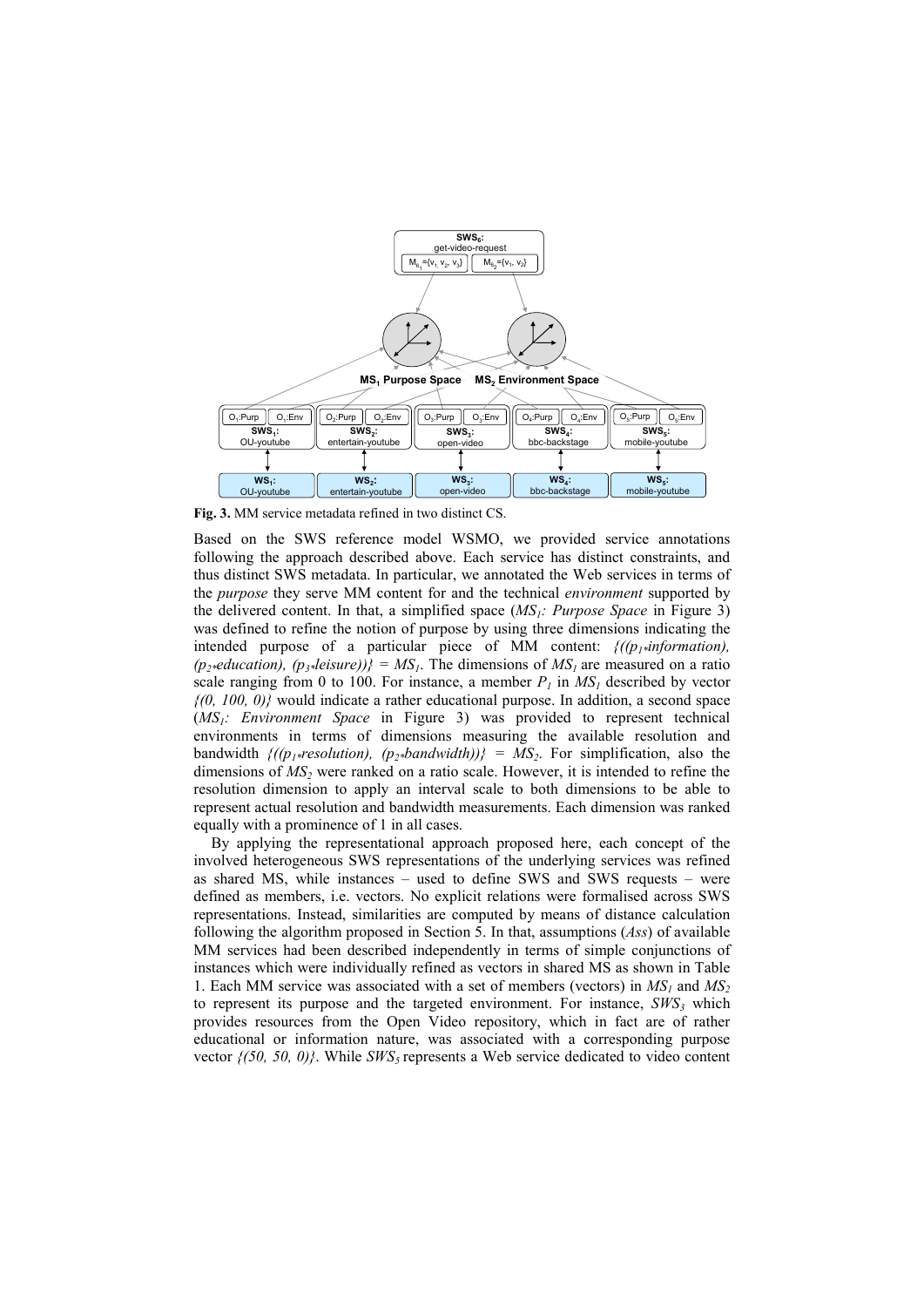

**Fig. 3.** MM service metadata refined in two distinct CS.

Based on the SWS reference model WSMO, we provided service annotations following the approach described above. Each service has distinct constraints, and thus distinct SWS metadata. In particular, we annotated the Web services in terms of the *purpose* they serve MM content for and the technical *environment* supported by the delivered content. In that, a simplified space (*MS1: Purpose Space* in Figure 3) was defined to refine the notion of purpose by using three dimensions indicating the intended purpose of a particular piece of MM content:  $\frac{f((p_{1*} \text{information})}{f((p_{2*} \text{information})})$  $(p_2 * education)$ ,  $(p_3 * leisure)$ } =  $MS_1$ . The dimensions of  $MS_1$  are measured on a ratio scale ranging from 0 to 100. For instance, a member  $P_I$  in  $MS_I$  described by vector *{(0, 100, 0)}* would indicate a rather educational purpose. In addition, a second space (*MS1: Environment Space* in Figure 3) was provided to represent technical environments in terms of dimensions measuring the available resolution and bandwidth  $\{(p)$ <sup>\*</sup>*resolution*),  $(p)$ <sup>\*</sup>*bandwidth* $)$ } =  $MS$ <sup>2</sup>. For simplification, also the dimensions of  $MS<sub>2</sub>$  were ranked on a ratio scale. However, it is intended to refine the resolution dimension to apply an interval scale to both dimensions to be able to represent actual resolution and bandwidth measurements. Each dimension was ranked equally with a prominence of 1 in all cases.

By applying the representational approach proposed here, each concept of the involved heterogeneous SWS representations of the underlying services was refined as shared MS, while instances – used to define SWS and SWS requests – were defined as members, i.e. vectors. No explicit relations were formalised across SWS representations. Instead, similarities are computed by means of distance calculation following the algorithm proposed in Section 5. In that, assumptions (*Ass*) of available MM services had been described independently in terms of simple conjunctions of instances which were individually refined as vectors in shared MS as shown in Table 1. Each MM service was associated with a set of members (vectors) in  $MS<sub>1</sub>$  and  $MS<sub>2</sub>$ to represent its purpose and the targeted environment. For instance, *SWS3* which provides resources from the Open Video repository, which in fact are of rather educational or information nature, was associated with a corresponding purpose vector *{(50, 50, 0)}*. While *SWS5* represents a Web service dedicated to video content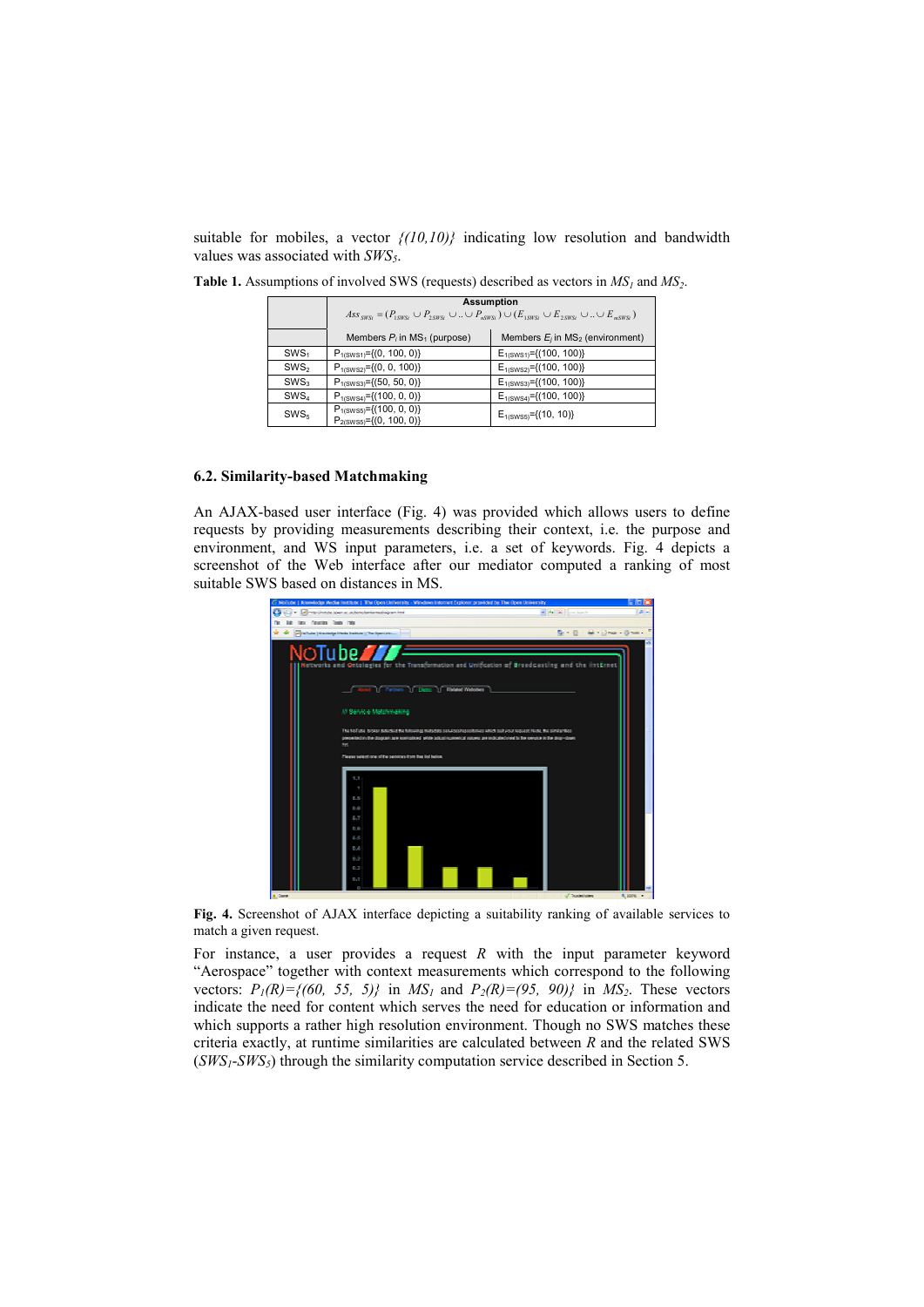suitable for mobiles, a vector *{(10,10)}* indicating low resolution and bandwidth values was associated with *SWS5*.

|                  | <b>Assumption</b>                                                                                                                                                     |                                       |
|------------------|-----------------------------------------------------------------------------------------------------------------------------------------------------------------------|---------------------------------------|
|                  | $\overline{Ass}_{\text{SWS}} = (P_{\text{ISWS}} \cup P_{\text{SWS}} \cup  \cup P_{\text{SWS}}) \cup (E_{\text{ISWS}} \cup E_{\text{SWS}} \cup  \cup E_{\text{MSWS}})$ |                                       |
|                  | Members $P_i$ in MS <sub>1</sub> (purpose)                                                                                                                            | Members $E_i$ in $MS_2$ (environment) |
| SWS <sub>1</sub> | $P_{1(SWS1)} = \{(0, 100, 0)\}$                                                                                                                                       | $E_{1(SWS1)} = \{(100, 100)\}$        |
| SWS <sub>2</sub> | $P_{1(SWS2)} = \{(0, 0, 100)\}$                                                                                                                                       | $E_{1(SWS2)} = \{(100, 100)\}$        |
| SWS <sub>3</sub> | $P_{1(SWS3)} = \{(50, 50, 0)\}$                                                                                                                                       | $E_{1(SWS3)} = \{(100, 100)\}$        |
| SWS <sub>4</sub> | $P_{1(SWS4)} = \{(100, 0, 0)\}$                                                                                                                                       | $E_{1(SWS4)} = \{(100, 100)\}$        |
| SWS <sub>5</sub> | $P_{1(SWS5)} = \{(100, 0, 0)\}$<br>$P_{2(SWS5)} = \{(0, 100, 0)\}$                                                                                                    | $E_{1(SWS5)} = \{(10, 10)\}$          |

**Table 1.** Assumptions of involved SWS (requests) described as vectors in  $MS<sub>1</sub>$  and  $MS<sub>2</sub>$ .

#### **6.2. Similarity-based Matchmaking**

An AJAX-based user interface (Fig. 4) was provided which allows users to define requests by providing measurements describing their context, i.e. the purpose and environment, and WS input parameters, i.e. a set of keywords. Fig. 4 depicts a screenshot of the Web interface after our mediator computed a ranking of most suitable SWS based on distances in MS.



**Fig. 4.** Screenshot of AJAX interface depicting a suitability ranking of available services to match a given request.

For instance, a user provides a request *R* with the input parameter keyword "Aerospace" together with context measurements which correspond to the following vectors:  $P_1(R) = \{(60, 55, 5)\}$  in  $MS_1$  and  $P_2(R) = (95, 90)\}$  in  $MS_2$ . These vectors indicate the need for content which serves the need for education or information and which supports a rather high resolution environment. Though no SWS matches these criteria exactly, at runtime similarities are calculated between *R* and the related SWS (*SWS1*-*SWS5*) through the similarity computation service described in Section 5.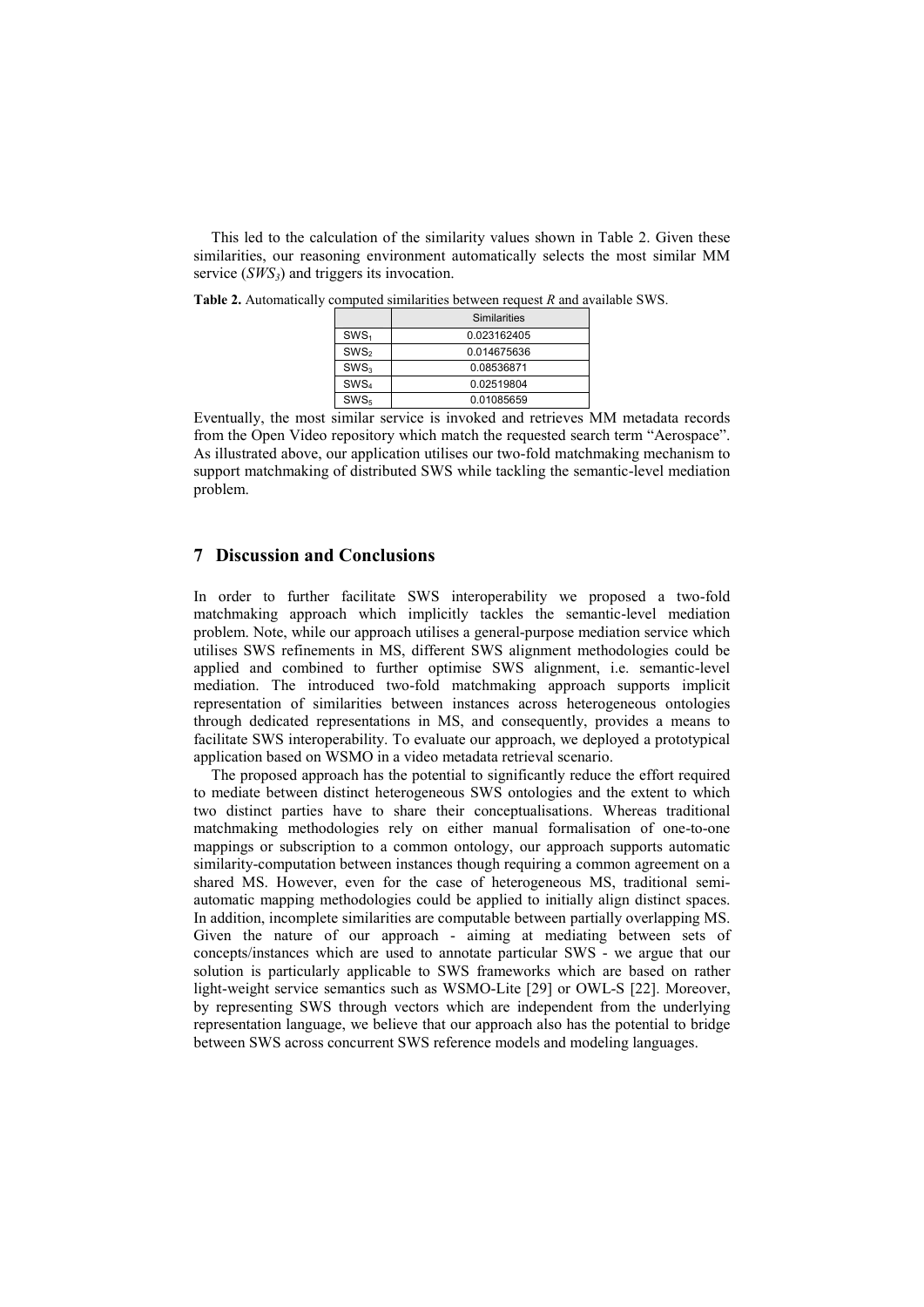This led to the calculation of the similarity values shown in Table 2. Given these similarities, our reasoning environment automatically selects the most similar MM service (*SWS3*) and triggers its invocation.

**Table 2.** Automatically computed similarities between request *R* and available SWS.

|                              | Similarities |
|------------------------------|--------------|
| SWS <sub>1</sub>             | 0.023162405  |
| SWS <sub>2</sub>             | 0.014675636  |
| SWS <sub>3</sub>             | 0.08536871   |
| SW <sub>S</sub> <sub>4</sub> | 0.02519804   |
| SW <sub>S5</sub>             | 0.01085659   |

Eventually, the most similar service is invoked and retrieves MM metadata records from the Open Video repository which match the requested search term "Aerospace". As illustrated above, our application utilises our two-fold matchmaking mechanism to support matchmaking of distributed SWS while tackling the semantic-level mediation problem.

## **7 Discussion and Conclusions**

In order to further facilitate SWS interoperability we proposed a two-fold matchmaking approach which implicitly tackles the semantic-level mediation problem. Note, while our approach utilises a general-purpose mediation service which utilises SWS refinements in MS, different SWS alignment methodologies could be applied and combined to further optimise SWS alignment, i.e. semantic-level mediation. The introduced two-fold matchmaking approach supports implicit representation of similarities between instances across heterogeneous ontologies through dedicated representations in MS, and consequently, provides a means to facilitate SWS interoperability. To evaluate our approach, we deployed a prototypical application based on WSMO in a video metadata retrieval scenario.

The proposed approach has the potential to significantly reduce the effort required to mediate between distinct heterogeneous SWS ontologies and the extent to which two distinct parties have to share their conceptualisations. Whereas traditional matchmaking methodologies rely on either manual formalisation of one-to-one mappings or subscription to a common ontology, our approach supports automatic similarity-computation between instances though requiring a common agreement on a shared MS. However, even for the case of heterogeneous MS, traditional semiautomatic mapping methodologies could be applied to initially align distinct spaces. In addition, incomplete similarities are computable between partially overlapping MS. Given the nature of our approach - aiming at mediating between sets of concepts/instances which are used to annotate particular SWS - we argue that our solution is particularly applicable to SWS frameworks which are based on rather light-weight service semantics such as WSMO-Lite [29] or OWL-S [22]. Moreover, by representing SWS through vectors which are independent from the underlying representation language, we believe that our approach also has the potential to bridge between SWS across concurrent SWS reference models and modeling languages.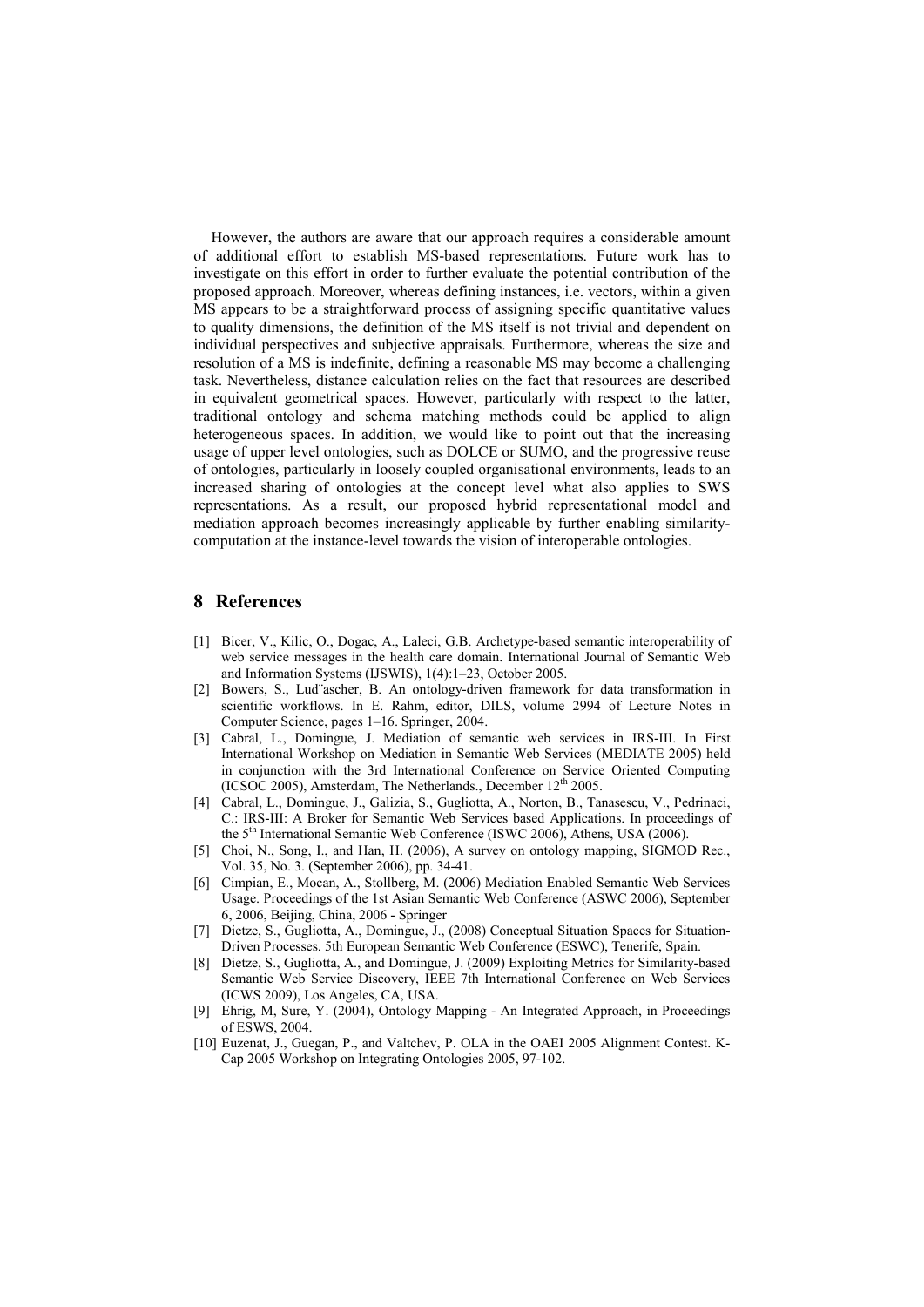However, the authors are aware that our approach requires a considerable amount of additional effort to establish MS-based representations. Future work has to investigate on this effort in order to further evaluate the potential contribution of the proposed approach. Moreover, whereas defining instances, i.e. vectors, within a given MS appears to be a straightforward process of assigning specific quantitative values to quality dimensions, the definition of the MS itself is not trivial and dependent on individual perspectives and subjective appraisals. Furthermore, whereas the size and resolution of a MS is indefinite, defining a reasonable MS may become a challenging task. Nevertheless, distance calculation relies on the fact that resources are described in equivalent geometrical spaces. However, particularly with respect to the latter, traditional ontology and schema matching methods could be applied to align heterogeneous spaces. In addition, we would like to point out that the increasing usage of upper level ontologies, such as DOLCE or SUMO, and the progressive reuse of ontologies, particularly in loosely coupled organisational environments, leads to an increased sharing of ontologies at the concept level what also applies to SWS representations. As a result, our proposed hybrid representational model and mediation approach becomes increasingly applicable by further enabling similaritycomputation at the instance-level towards the vision of interoperable ontologies.

# **8 References**

- [1] Bicer, V., Kilic, O., Dogac, A., Laleci, G.B. Archetype-based semantic interoperability of web service messages in the health care domain. International Journal of Semantic Web and Information Systems (IJSWIS), 1(4):1–23, October 2005.
- [2] Bowers, S., Lud¨ascher, B. An ontology-driven framework for data transformation in scientific workflows. In E. Rahm, editor, DILS, volume 2994 of Lecture Notes in Computer Science, pages 1–16. Springer, 2004.
- [3] Cabral, L., Domingue, J. Mediation of semantic web services in IRS-III. In First International Workshop on Mediation in Semantic Web Services (MEDIATE 2005) held in conjunction with the 3rd International Conference on Service Oriented Computing (ICSOC 2005), Amsterdam, The Netherlands., December  $12<sup>th</sup>$  2005.
- [4] Cabral, L., Domingue, J., Galizia, S., Gugliotta, A., Norton, B., Tanasescu, V., Pedrinaci, C.: IRS-III: A Broker for Semantic Web Services based Applications. In proceedings of the 5<sup>th</sup> International Semantic Web Conference (ISWC 2006), Athens, USA (2006).
- [5] Choi, N., Song, I., and Han, H. (2006), A survey on ontology mapping, SIGMOD Rec., Vol. 35, No. 3. (September 2006), pp. 34-41.
- [6] Cimpian, E., Mocan, A., Stollberg, M. (2006) Mediation Enabled Semantic Web Services Usage. Proceedings of the 1st Asian Semantic Web Conference (ASWC 2006), September 6, 2006, Beijing, China, 2006 - Springer
- [7] Dietze, S., Gugliotta, A., Domingue, J., (2008) Conceptual Situation Spaces for Situation-Driven Processes. 5th European Semantic Web Conference (ESWC), Tenerife, Spain.
- [8] Dietze, S., Gugliotta, A., and Domingue, J. (2009) Exploiting Metrics for Similarity-based Semantic Web Service Discovery, IEEE 7th International Conference on Web Services (ICWS 2009), Los Angeles, CA, USA.
- [9] Ehrig, M, Sure, Y. (2004), Ontology Mapping An Integrated Approach, in Proceedings of ESWS, 2004.
- [10] Euzenat, J., Guegan, P., and Valtchev, P. OLA in the OAEI 2005 Alignment Contest. K-Cap 2005 Workshop on Integrating Ontologies 2005, 97-102.